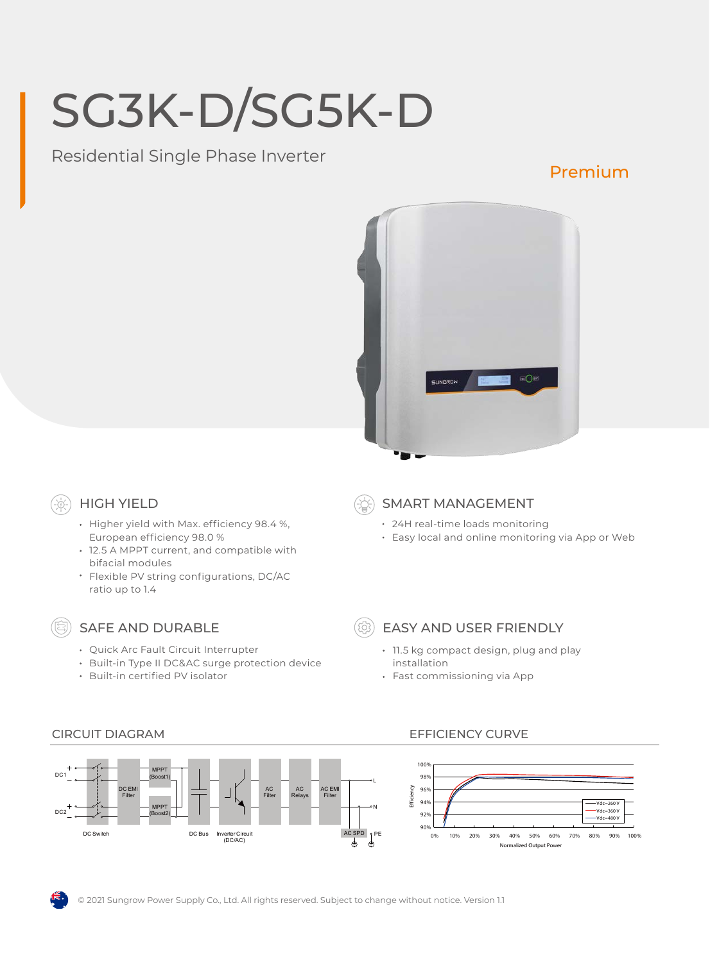# SG3K-D/SG5K-D

Residential Single Phase Inverter

## Premium



## HIGH YIELD

- Higher yield with Max. efficiency 98.4 %, European efficiency 98.0 %
- 12.5 A MPPT current, and compatible with bifacial modules
- Flexible PV string configurations, DC/AC ratio up to 1.4

## SAFE AND DURABLE

- Quick Arc Fault Circuit Interrupter
- Built-in Type II DC&AC surge protection device
- Built-in certified PV isolator

SMART MANAGEMENT

- 24H real-time loads monitoring
- Easy local and online monitoring via App or Web



## EASY AND USER FRIENDLY

- 11.5 kg compact design, plug and play installation
- Fast commissioning via App



## CIRCUIT DIAGRAM EFFICIENCY CURVE